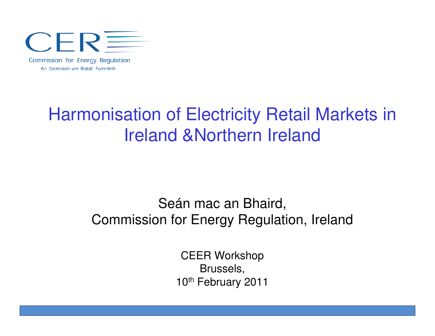

Harmonisation of Electricity Retail Markets in Ireland &Northern Ireland

> Seán mac an Bhaird, Commission for Energy Regulation, Ireland

> > CEER WorkshopBrussels,10<sup>th</sup> February 2011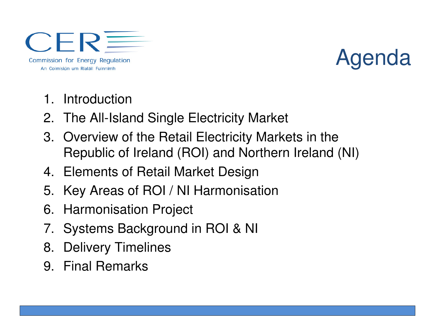**CER** Commission for Energy Regulation An Coimisiún um Rialáil Fuinnimh

### Agenda

- 1. Introduction
- 2. The All-Island Single Electricity Market
- 3. Overview of the Retail Electricity Markets in theRepublic of Ireland (ROI) and Northern Ireland (NI)
- 4. Elements of Retail Market Design
- 5. Key Areas of ROI / NI Harmonisation
- 6. Harmonisation Project
- 7. Systems Background in ROI & NI
- 8. Delivery Timelines
- 9. Final Remarks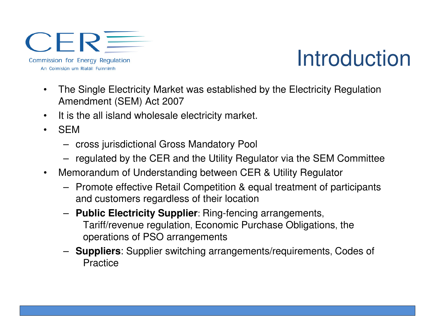**CER** Commission for Energy Regulation An Coimisiún um Rialáil Fuinnimh

#### Introduction

- $\bullet$  The Single Electricity Market was established by the Electricity Regulation Amendment (SEM) Act 2007
- $\bullet$ It is the all island wholesale electricity market.
- $\bullet$  SEM
	- cross jurisdictional Gross Mandatory Pool
	- regulated by the CER and the Utility Regulator via the SEM Committee
- $\bullet$  Memorandum of Understanding between CER & Utility Regulator
	- Promote effective Retail Competition & equal treatment of participants and customers regardless of their location
	- **Public Electricity Supplier**: Ring-fencing arrangements, Tariff/revenue regulation, Economic Purchase Obligations, the operations of PSO arrangements
	- **Suppliers**: Supplier switching arrangements/requirements, Codes of **Practice**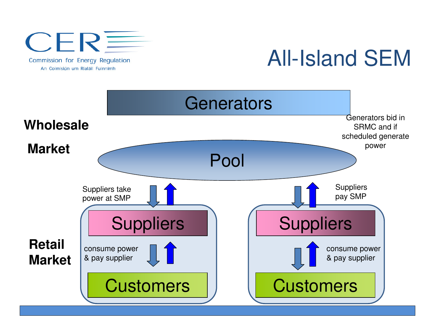

All-Island SEM

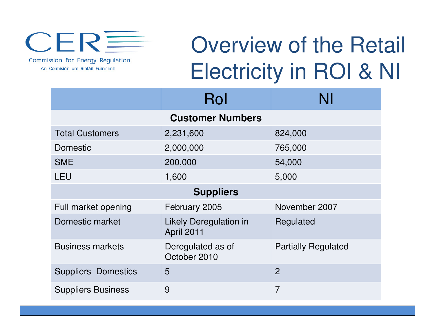

Commission for Energy Regulation An Coimisiún um Rialáil Fuinnimh

# Overview of the Retail Electricity in ROI & NI

|                            | Rol                                         | NI                         |
|----------------------------|---------------------------------------------|----------------------------|
| <b>Customer Numbers</b>    |                                             |                            |
| <b>Total Customers</b>     | 2,231,600                                   | 824,000                    |
| Domestic                   | 2,000,000                                   | 765,000                    |
| <b>SME</b>                 | 200,000                                     | 54,000                     |
| <b>LEU</b>                 | 1,600                                       | 5,000                      |
| <b>Suppliers</b>           |                                             |                            |
| Full market opening        | February 2005                               | November 2007              |
| Domestic market            | <b>Likely Deregulation in</b><br>April 2011 | Regulated                  |
| <b>Business markets</b>    | Deregulated as of<br>October 2010           | <b>Partially Regulated</b> |
| <b>Suppliers Domestics</b> | 5                                           | $\overline{2}$             |
| <b>Suppliers Business</b>  | 9                                           | $\overline{7}$             |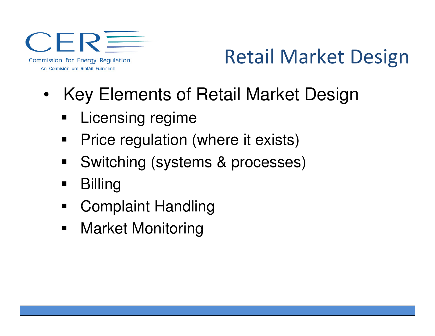**CER** Commission for Energy Regulation An Coimisiún um Rialáil Fuinnimh

### Retail Market Design

- $\bullet$  Key Elements of Retail Market Design
	- П Licensing regime
	- $\blacksquare$ Price regulation (where it exists)
	- $\blacksquare$ Switching (systems & processes)
	- $\blacksquare$ **Billing**
	- $\blacksquare$ Complaint Handling
	- $\blacksquare$ Market Monitoring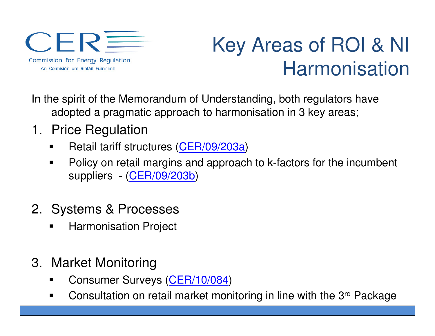CERE Commission for Energy Regulation An Coimisiún um Rialáil Fuinnimh

### Key Areas of ROI & NI Harmonisation

In the spirit of the Memorandum of Understanding, both regulators have adopted a pragmatic approach to harmonisation in 3 key areas;

- 1. Price Regulation
	- $\blacksquare$ Retail tariff structures (CER/09/203a)
	- $\blacksquare$  Policy on retail margins and approach to k-factors for the incumbent suppliers - (CER/09/203b)
- 2. Systems & Processes
	- Harmonisation Project
- 3. Market Monitoring
	- Consumer Surveys (<mark>CER/10/084</mark>) ٠
	- $\blacksquare$ Consultation on retail market monitoring in line with the 3rd Package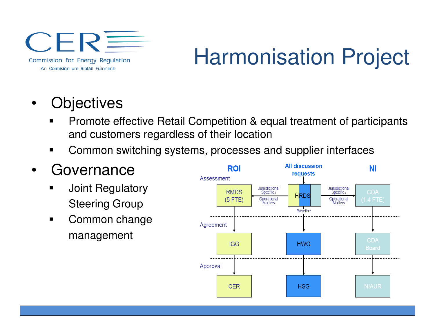CERE Commission for Energy Regulation An Coimisiún um Rialáil Fuinnimh

# Harmonisation Project

- •**Objectives** 
	- **Promote effective Retail Competition & equal treatment of participants** ٠ and customers regardless of their location
	- ٠ Common switching systems, processes and supplier interfaces
- • Governance
	- **Joint Regulatory** Steering Group
	- $\blacksquare$  Common change management

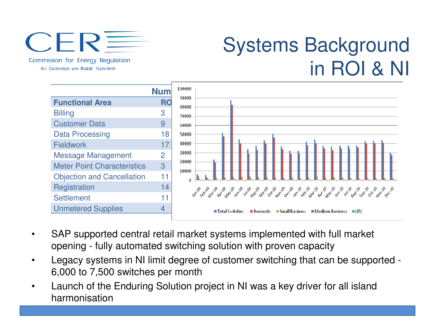

Commission for Energy Regulation An Coimisiún um Rialáil Fuinnimh

#### Systems Background in ROI & NI



- • SAP supported central retail market systems implemented with full market opening - fully automated switching solution with proven capacity
- • Legacy systems in NI limit degree of customer switching that can be supported -6,000 to 7,500 switches per month
- • Launch of the Enduring Solution project in NI was a key driver for all island harmonisation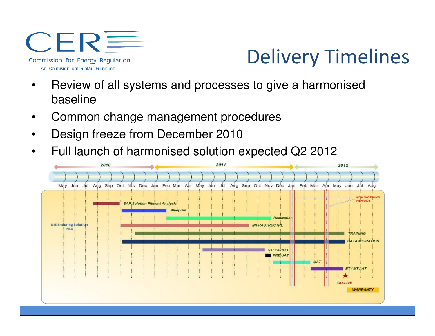$CER \equiv$ Commission for Energy Regulation An Coimisiún um Rialáil Fuinnimh

#### Delivery Timelines

- • Review of all systems and processes to give a harmonised baseline
- •Common change management procedures
- •Design freeze from December 2010
- •Full launch of harmonised solution expected Q2 2012

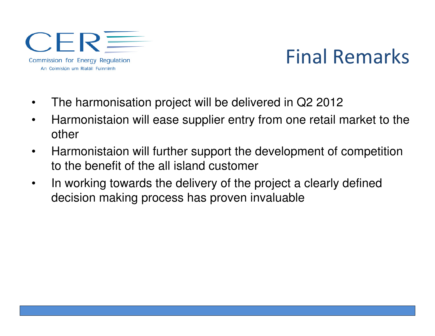$CER \equiv$ Commission for Energy Regulation An Coimisiún um Rialáil Fuinnimh

#### Final Remarks

- •The harmonisation project will be delivered in Q2 2012
- $\bullet$  Harmonistaion will ease supplier entry from one retail market to the other
- $\bullet$  Harmonistaion will further support the development of competition to the benefit of the all island customer
- • In working towards the delivery of the project a clearly defineddecision making process has proven invaluable